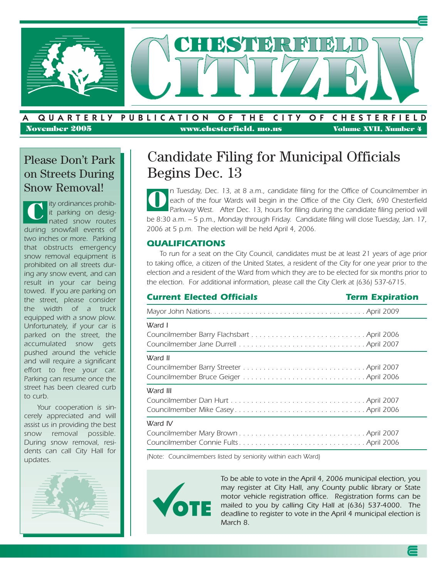

**November 2005 www.chesterfield. mo.us Volume XVII, Number 4**

### Please Don't Park on Streets During Snow Removal!

*ity ordinances prohibit parking on designated snow routes during snowfall events of two inches or more. Parking that obstructs emergency snow removal equipment is prohibited on all streets during any snow event, and can result in your car being towed. If you are parking on the street, please consider the width of a truck equipped with a snow plow. Unfortunately, if your car is parked on the street, the accumulated snow gets pushed around the vehicle and will require a significant effort to free your car. Parking can resume once the street has been cleared curb to curb.*  **C**

*Your cooperation is sincerely appreciated and will assist us in providing the best snow removal possible. During snow removal, residents can call City Hall for updates.*



# Candidate Filing for Municipal Officials Begins Dec. 13

*n Tuesday, Dec. 13, at 8 a.m., candidate filing for the Office of Councilmember in each of the four Wards will begin in the Office of the City Clerk, 690 Chesterfield* Parkway West. After Dec. 13, hours for filing during the candidate filing period will *be 8:30 a.m. – 5 p.m., Monday through Friday. Candidate filing will close Tuesday, Jan. 17, 2006 at 5 p.m. The election will be held April 4, 2006.* **O**

### *QUALIFICATIONS*

*To run for a seat on the City Council, candidates must be at least 21 years of age prior to taking office, a citizen of the United States, a resident of the City for one year prior to the election and a resident of the Ward from which they are to be elected for six months prior to the election. For additional information, please call the City Clerk at (636) 537-6715.*

| <b>Current Elected Officials</b> | <b>Term Expiration</b> |
|----------------------------------|------------------------|
|                                  |                        |
| Ward I                           |                        |
| Ward II                          |                        |
| Ward III                         |                        |
| Ward IV                          |                        |

*(Note: Councilmembers listed by seniority within each Ward)*



*To be able to vote in the April 4, 2006 municipal election, you may register at City Hall, any County public library or State motor vehicle registration office. Registration forms can be mailed to you by calling City Hall at (636) 537-4000. The deadline to register to vote in the April 4 municipal election is March 8.*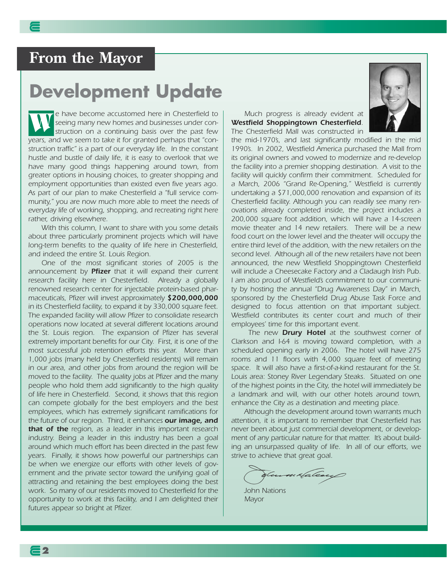# **From the Mayor**

# **Development Update**

*e have become accustomed here in Chesterfield to seeing many new homes and businesses under construction on a continuing basis over the past few years, and we seem to take it for granted perhaps that "construction traffic" is a part of our everyday life. In the constant hustle and bustle of daily life, it is easy to overlook that we have many good things happening around town, from greater options in housing choices, to greater shopping and employment opportunities than existed even five years ago. As part of our plan to make Chesterfield a "full service community," you are now much more able to meet the needs of everyday life of working, shopping, and recreating right here rather, driving elsewhere.* **W**

*With this column, I want to share with you some details about three particularly prominent projects which will have long-term benefits to the quality of life here in Chesterfield, and indeed the entire St. Louis Region.*

*One of the most significant stories of 2005 is the announcement by Pfizer that it will expand their current research facility here in Chesterfield. Already a globally renowned research center for injectable protein-based pharmaceuticals, Pfizer will invest approximately \$200,000,000 in its Chesterfield facility, to expand it by 330,000 square feet. The expanded facility will allow Pfizer to consolidate research operations now located at several different locations around the St. Louis region. The expansion of Pfizer has several extremely important benefits for our City. First, it is one of the most successful job retention efforts this year. More than 1,000 jobs (many held by Chesterfield residents) will remain in our area, and other jobs from around the region will be moved to the facility. The quality jobs at Pfizer and the many people who hold them add significantly to the high quality of life here in Chesterfield. Second, it shows that this region can compete globally for the best employers and the best employees, which has extremely significant ramifications for the future of our region. Third, it enhances our image, and that of the region, as a leader in this important research industry. Being a leader in this industry has been a goal around which much effort has been directed in the past few years. Finally, it shows how powerful our partnerships can be when we energize our efforts with other levels of government and the private sector toward the unifying goal of attracting and retaining the best employees doing the best work. So many of our residents moved to Chesterfield for the opportunity to work at this facility, and I am delighted their futures appear so bright at Pfizer.*

*Much progress is already evident at Westfield Shoppingtown Chesterfield. The Chesterfield Mall was constructed in*



*the mid-1970's, and last significantly modified in the mid 1990's. In 2002, Westfield America purchased the Mall from its original owners and vowed to modernize and re-develop the facility into a premier shopping destination. A visit to the facility will quickly confirm their commitment. Scheduled for a March, 2006 "Grand Re-Opening," Westfield is currently undertaking a \$71,000,000 renovation and expansion of its Chesterfield facility. Although you can readily see many renovations already completed inside, the project includes a 200,000 square foot addition, which will have a 14-screen movie theater and 14 new retailers. There will be a new food court on the lower level and the theater will occupy the entire third level of the addition, with the new retailers on the second level. Although all of the new retailers have not been announced, the new Westfield Shoppingtown Chesterfield will include a Cheesecake Factory and a Cladaugh Irish Pub. I am also proud of Westfield's commitment to our community by hosting the annual "Drug Awareness Day" in March, sponsored by the Chesterfield Drug Abuse Task Force and designed to focus attention on that important subject. Westfield contributes its center court and much of their employees' time for this important event.*

*The new Drury Hotel at the southwest corner of Clarkson and I-64 is moving toward completion, with a scheduled opening early in 2006. The hotel will have 275 rooms and 11 floors with 4,000 square feet of meeting space. It will also have a first-of-a-kind restaurant for the St. Louis area: Stoney River Legendary Steaks. Situated on one of the highest points in the City, the hotel will immediately be a landmark and will, with our other hotels around town, enhance the City as a destination and meeting place.* 

*Although the development around town warrants much attention, it is important to remember that Chesterfield has never been about just commercial development, or development of any particular nature for that matter. It's about building an unsurpassed quality of life. In all of our efforts, we strive to achieve that great goal.* 

Summalaleaux

*John Nations Mayor*

**2**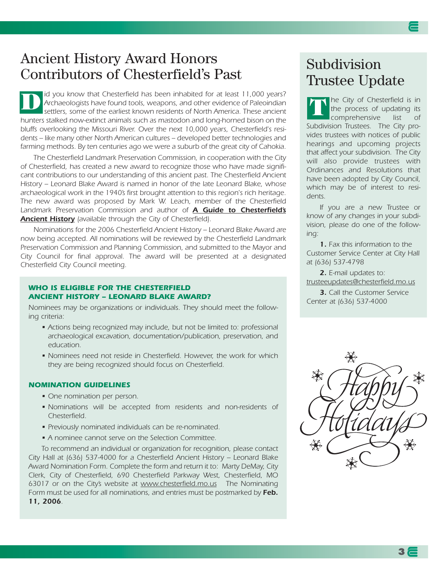### Ancient History Award Honors Contributors of Chesterfield's Past

*id you know that Chesterfield has been inhabited for at least 11,000 years? Archaeologists have found tools, weapons, and other evidence of Paleoindian settlers, some of the earliest known residents of North America. These ancient hunters stalked now-extinct animals such as mastodon and long-horned bison on the bluffs overlooking the Missouri River. Over the next 10,000 years, Chesterfield's residents -- like many other North American cultures -- developed better technologies and* farming methods. By ten centuries ago we were a suburb of the great city of Cahokia. **D**

*The Chesterfield Landmark Preservation Commission, in cooperation with the City of Chesterfield, has created a new award to recognize those who have made significant contributions to our understanding of this ancient past. The Chesterfield Ancient History – Leonard Blake Award is named in honor of the late Leonard Blake, whose archaeological work in the 1940's first brought attention to this region's rich heritage. The new award was proposed by Mark W. Leach, member of the Chesterfield Landmark Preservation Commission and author of A Guide to Chesterfield's Ancient History (available through the City of Chesterfield).* 

*Nominations for the 2006 Chesterfield Ancient History – Leonard Blake Award are now being accepted. All nominations will be reviewed by the Chesterfield Landmark Preservation Commission and Planning Commission, and submitted to the Mayor and City Council for final approval. The award will be presented at a designated Chesterfield City Council meeting.*

#### *WHO IS ELIGIBLE FOR THE CHESTERFIELD ANCIENT HISTORY – LEONARD BLAKE AWARD?*

*Nominees may be organizations or individuals. They should meet the following criteria:*

- *Actions being recognized may include, but not be limited to: professional archaeological excavation, documentation/publication, preservation, and education.*
- *Nominees need not reside in Chesterfield. However, the work for which they are being recognized should focus on Chesterfield.*

#### *NOMINATION GUIDELINES*

- *One nomination per person.*
- *Nominations will be accepted from residents and non-residents of Chesterfield.*
- *Previously nominated individuals can be re-nominated.*
- *A nominee cannot serve on the Selection Committee.*

*To recommend an individual or organization for recognition, please contact City Hall at (636) 537-4000 for a Chesterfield Ancient History – Leonard Blake Award Nomination Form. Complete the form and return it to: Marty DeMay, City Clerk, City of Chesterfield, 690 Chesterfield Parkway West, Chesterfield, MO 63017 or on the City's website at www.chesterfield.mo.us The Nominating* Form must be used for all nominations, and entries must be postmarked by **Feb.** *11, 2006.* 

### **Subdivision** Trustee Update

*he City of Chesterfield is in the process of updating its comprehensive list of Subdivision Trustees. The City provides trustees with notices of public hearings and upcoming projects that affect your subdivision. The City will also provide trustees with Ordinances and Resolutions that have been adopted by City Council, which may be of interest to residents.*  **T**

*If you are a new Trustee or know of any changes in your subdivision, please do one of the following:*

*1. Fax this information to the Customer Service Center at City Hall at (636) 537-4798* 

*2. E-mail updates to: trusteeupdates@chesterfield.mo.us*

*3. Call the Customer Service Center at (636) 537-4000*

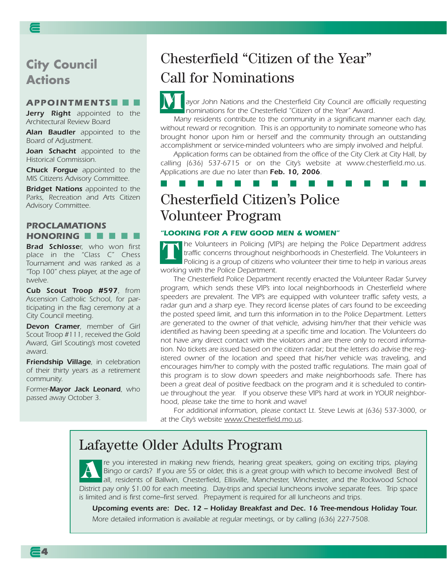**City Council Actions** 

#### *APPOINTMENTS*■■■

*Jerry Right appointed to the Architectural Review Board*

*Alan Baudler appointed to the Board of Adjustment.*

*Joan Schacht appointed to the Historical Commission.*

*Chuck Forgue appointed to the MIS Citizens Advisory Committee.*

*Bridget Nations appointed to the Parks, Recreation and Arts Citizen Advisory Committee.*

### *PROCLAMATIONS HONORING* ■ ■ ■ ■ ■

*Brad Schlosser, who won first place in the "Class C" Chess Tournament and was ranked as a "Top 100" chess player, at the age of twelve.*

*Cub Scout Troop #597, from Ascension Catholic School, for participating in the flag ceremony at a City Council meeting.*

*Devon Cramer, member of Girl Scout Troop #111, received the Gold Award, Girl Scouting's most coveted award.*

*Friendship Village, in celebration of their thirty years as a retirement community.*

*Former-Mayor Jack Leonard, who passed away October 3.*

# Chesterfield "Citizen of the Year" Call for Nominations

*ayor John Nations and the Chesterfield City Council are officially requesting nominations for the Chesterfield "Citizen of the Year" Award.* **M**

*Many residents contribute to the community in a significant manner each day, without reward or recognition. This is an opportunity to nominate someone who has brought honor upon him or herself and the community through an outstanding accomplishment or service-minded volunteers who are simply involved and helpful.*

*Application forms can be obtained from the office of the City Clerk at City Hall, by calling (636) 537-6715 or on the City's website at www.chesterfield.mo.us. Applications are due no later than Feb. 10, 2006.* 

■ ■ ■ ■ ■ ■ ■ ■ ■ ■ ■ ■ ■ ■ ■

# Chesterfield Citizen's Police Volunteer Program

### *"LOOKING FOR A FEW GOOD MEN & WOMEN"*

*he Volunteers in Policing (VIP's) are helping the Police Department address traffic concerns throughout neighborhoods in Chesterfield. The Volunteers in Policing is a group of citizens who volunteer their time to help in various areas working with the Police Department.*  **T**

*The Chesterfield Police Department recently enacted the Volunteer Radar Survey program, which sends these VIP's into local neighborhoods in Chesterfield where speeders are prevalent. The VIP's are equipped with volunteer traffic safety vests, a radar gun and a sharp eye. They record license plates of cars found to be exceeding the posted speed limit, and turn this information in to the Police Department. Letters are generated to the owner of that vehicle, advising him/her that their vehicle was identified as having been speeding at a specific time and location. The Volunteers do not have any direct contact with the violators and are there only to record information. No tickets are issued based on the citizen radar; but the letters do advise the registered owner of the location and speed that his/her vehicle was traveling, and encourages him/her to comply with the posted traffic regulations. The main goal of this program is to slow down speeders and make neighborhoods safe. There has been a great deal of positive feedback on the program and it is scheduled to continue throughout the year. If you observe these VIP's hard at work in YOUR neighborhood, please take the time to honk and wave!*

*For additional information, please contact Lt. Steve Lewis at (636) 537-3000, or at the City's website www.Chesterfield.mo.us.*

### Lafayette Older Adults Program

*re you interested in making new friends, hearing great speakers, going on exciting trips, playing Bingo or cards? If you are 55 or older, this is a great group with which to become involved! Best of all, residents of Ballwin, Chesterfield, Ellisville, Manchester, Winchester, and the Rockwood School District pay only \$1.00 for each meeting. Day-trips and special luncheons involve separate fees. Trip space is limited and is first come–first served. Prepayment is required for all luncheons and trips.* **A**

*Upcoming events are: Dec. 12 – Holiday Breakfast and Dec. 16 Tree-mendous Holiday Tour. More detailed information is available at regular meetings, or by calling (636) 227-7508.*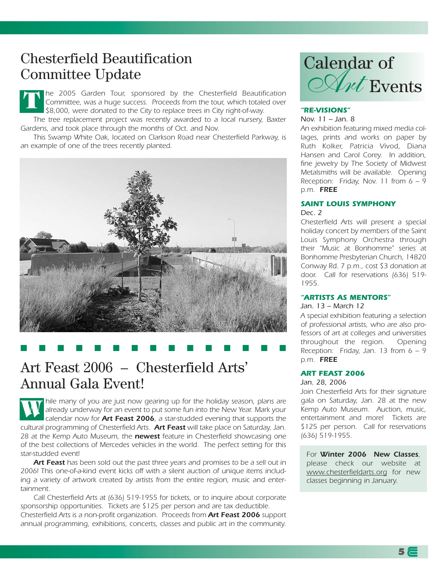# Chesterfield Beautification Committee Update

*he 2005 Garden Tour, sponsored by the Chesterfield Beautification Committee, was a huge success. Proceeds from the tour, which totaled over \$8,000, were donated to the City to replace trees in City right-of-way.*  **T**

*The tree replacement project was recently awarded to a local nursery, Baxter* Gardens, and took place through the months of Oct. and Nov.

*This Swamp White Oak, located on Clarkson Road near Chesterfield Parkway, is an example of one of the trees recently planted.*



### ■ ■ ■ ■ ■ ■ ■ ■ ■ ■ ■ ■ ■ ■ ■

### Art Feast 2006 – Chesterfield Arts' Annual Gala Event!

*hile many of you are just now gearing up for the holiday season, plans are already underway for an event to put some fun into the New Year. Mark your calendar now for Art Feast 2006, a star-studded evening that supports the cultural programming of Chesterfield Arts. Art Feast will take place on Saturday, Jan. 28 at the Kemp Auto Museum, the newest feature in Chesterfield showcasing one of the best collections of Mercedes vehicles in the world. The perfect setting for this star-studded event!*  **W**

*Art Feast has been sold out the past three years and promises to be a sell out in 2006! This one-of-a-kind event kicks off with a silent auction of unique items including a variety of artwork created by artists from the entire region, music and entertainment.* 

*Call Chesterfield Arts at (636) 519-1955 for tickets, or to inquire about corporate sponsorship opportunities. Tickets are \$125 per person and are tax deductible. Chesterfield Arts is a non-profit organization. Proceeds from Art Feast 2006 support annual programming, exhibitions, concerts, classes and public art in the community.* 



### *"RE-VISIONS"*

#### *Nov. 11 – Jan. 8*

*An exhibition featuring mixed media collages, prints and works on paper by Ruth Kolker, Patricia Vivod, Diana Hansen and Carol Corey. In addition, fine jewelry by The Society of Midwest Metalsmiths will be available. Opening Reception: Friday, Nov. 11 from 6 – 9 p.m. FREE*

#### *SAINT LOUIS SYMPHONY Dec. 2*

*Chesterfield Arts will present a special holiday concert by members of the Saint Louis Symphony Orchestra through their "Music at Bonhomme" series at Bonhomme Presbyterian Church, 14820 Conway Rd. 7 p.m., cost \$3 donation at door. Call for reservations (636) 519- 1955.* 

#### *"ARTISTS AS MENTORS"*

#### *Jan. 13 – March 12*

*A special exhibition featuring a selection of professional artists, who are also professors of art at colleges and universities throughout the region. Opening Reception: Friday, Jan. 13 from 6 – 9 p.m. FREE*

#### *ART FEAST 2006*

#### *Jan. 28, 2006*

*Join Chesterfield Arts for their signature gala on Saturday, Jan. 28 at the new Kemp Auto Museum. Auction, music, entertainment and more! Tickets are \$125 per person. Call for reservations (636) 519-1955.* 

*For Winter 2006 New Classes, please check our website at www.chesterfieldarts.org for new classes beginning in January.*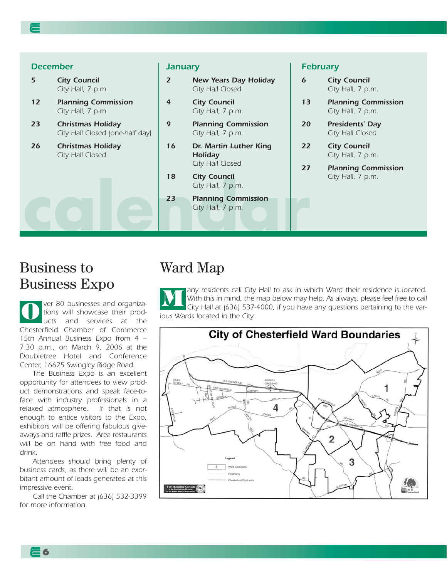### *December*

- *5 City Council City Hall, 7 p.m.*
- *12 Planning Commission City Hall, 7 p.m.*
- *23 Christmas Holiday City Hall Closed (one-half day)*
- *26 Christmas Holiday City Hall Closed*

### *January*

- *2 New Years Day Holiday City Hall Closed*
- *4 City Council City Hall, 7 p.m.*
- *9 Planning Commission City Hall, 7 p.m.*
- *16 Dr. Martin Luther King Holiday City Hall Closed*
- *18 City Council City Hall, 7 p.m.*
- City Hall, 7 p.m.<br>
23 Planning Commission<br>
City Hall, 7 p.m.<br>
23 Planning Commission *23 Planning Commission City Hall, 7 p.m.*

#### *February*

- *6 City Council City Hall, 7 p.m.*
- *13 Planning Commission City Hall, 7 p.m.*
- *20 Presidents' Day City Hall Closed*
- *22 City Council City Hall, 7 p.m.*
- *27 Planning Commission City Hall, 7 p.m.*

### Business to Business Expo

*ver 80 businesses and organizations will showcase their products and services at the Chesterfield Chamber of Commerce 15th Annual Business Expo from 4 – 7:30 p.m., on March 9, 2006 at the Doubletree Hotel and Conference Center, 16625 Swingley Ridge Road.*  **O**

*The Business Expo is an excellent opportunity for attendees to view product demonstrations and speak face-toface with industry professionals in a relaxed atmosphere. If that is not enough to entice visitors to the Expo, exhibitors will be offering fabulous giveaways and raffle prizes. Area restaurants will be on hand with free food and drink.*

*Attendees should bring plenty of business cards, as there will be an exorbitant amount of leads generated at this impressive event.*

*Call the Chamber at (636) 532-3399 for more information.*

**6**

### Ward Map

*any residents call City Hall to ask in which Ward their residence is located. With this in mind, the map below may help. As always, please feel free to call City Hall at (636) 537-4000, if you have any questions pertaining to the various Wards located in the City.* **M**

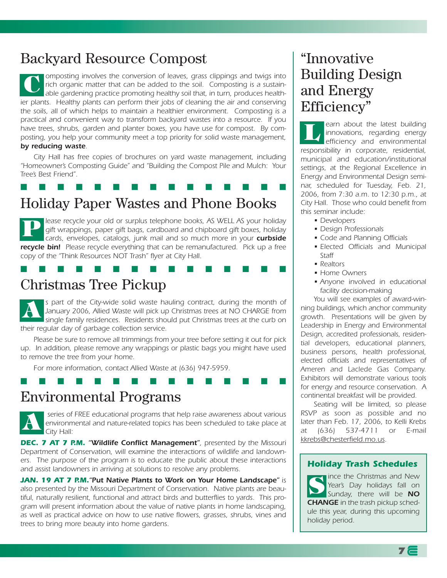# Backyard Resource Compost

*omposting involves the conversion of leaves, grass clippings and twigs into rich organic matter that can be added to the soil. Composting is a sustainable gardening practice promoting healthy soil that, in turn, produces healthier plants. Healthy plants can perform their jobs of cleaning the air and conserving the soils, all of which helps to maintain a healthier environment. Composting is a practical and convenient way to transform backyard wastes into a resource. If you have trees, shrubs, garden and planter boxes, you have use for compost. By composting, you help your community meet a top priority for solid waste management, by reducing waste.* **C**

*City Hall has free copies of brochures on yard waste management, including "Homeowner's Composting Guide" and "Building the Compost Pile and Mulch: Your Tree's Best Friend".*

### Holiday Paper Wastes and Phone Books ■ ■ ■ ■ ■ ■ ■ ■ ■ ■ ■ ■ ■ ■ ■

*lease recycle your old or surplus telephone books, AS WELL AS your holiday gift wrappings, paper gift bags, cardboard and chipboard gift boxes, holiday* cards, envelopes, catalogs, junk mail and so much more in your **curbside** *recycle bin! Please recycle everything that can be remanufactured. Pick up a free copy of the "Think Resources NOT Trash" flyer at City Hall.*  **P**

■ ■ ■ ■ ■ ■ ■ ■ ■ ■ ■ ■ ■ ■ ■

# Christmas Tree Pickup

*s part of the City-wide solid waste hauling contract, during the month of January 2006, Allied Waste will pick up Christmas trees at NO CHARGE from single family residences. Residents should put Christmas trees at the curb on their regular day of garbage collection service.* **A**

*Please be sure to remove all trimmings from your tree before setting it out for pick up. In addition, please remove any wrappings or plastic bags you might have used to remove the tree from your home.*

■ ■ ■ ■ ■ ■ ■ ■ ■ ■ ■ ■ ■ ■ ■

*For more information, contact Allied Waste at (636) 947-5959.*

### Environmental Programs



*series of FREE educational programs that help raise awareness about various environmental and nature-related topics has been scheduled to take place at City Hall:*

**DEC. 7 AT 7 P.M. "Wildlife Conflict Management"**, presented by the Missouri *Department of Conservation, will examine the interactions of wildlife and landowners. The purpose of the program is to educate the public about these interactions and assist landowners in arriving at solutions to resolve any problems.*

*JAN. 19 AT 7 P.M."Put Native Plants to Work on Your Home Landscape" is also presented by the Missouri Department of Conservation. Native plants are beautiful, naturally resilient, functional and attract birds and butterflies to yards. This program will present information about the value of native plants in home landscaping, as well as practical advice on how to use native flowers, grasses, shrubs, vines and trees to bring more beauty into home gardens.*

# "Innovative Building Design and Energy Efficiency"

*earn about the latest building innovations, regarding energy efficiency and environmental responsibility in corporate, residential, municipal and education/institutional settings, at the Regional Excellence in Energy and Environmental Design seminar, scheduled for Tuesday, Feb. 21, 2006, from 7:30 a.m. to 12:30 p.m., at City Hall. Those who could benefit from this seminar include:* **L**

- *Developers*
- *Design Professionals*
- *Code and Planning Officials*
- *Elected Officials and Municipal Staff*
- *Realtors*
- *Home Owners*
- *Anyone involved in educational facility decision-making*

*You will see examples of award-winning buildings, which anchor community growth. Presentations will be given by Leadership in Energy and Environmental Design, accredited professionals, residential developers, educational planners, business persons, health professional, elected officials and representatives of Ameren and Laclede Gas Company. Exhibitors will demonstrate various tools for energy and resource conservation. A continental breakfast will be provided.*

*Seating will be limited, so please RSVP as soon as possible and no later than Feb. 17, 2006, to Kelli Krebs at (636) 537-4711 or E-mail kkrebs@chesterfield.mo.us.*

### **Holiday Trash Schedules**

*RSVP as soon as possible and no later than Feb. 17, 2006, to Kelli ince the Christmas and New Krebs at (636) 537-4711 or E-Year's Day holidays fall on mail kkrebs@chesterfield.mo.us. Sunday, there will be NO CHANGE in the trash pickup schedule this year, during this upcoming holiday period.* **S**

**7**